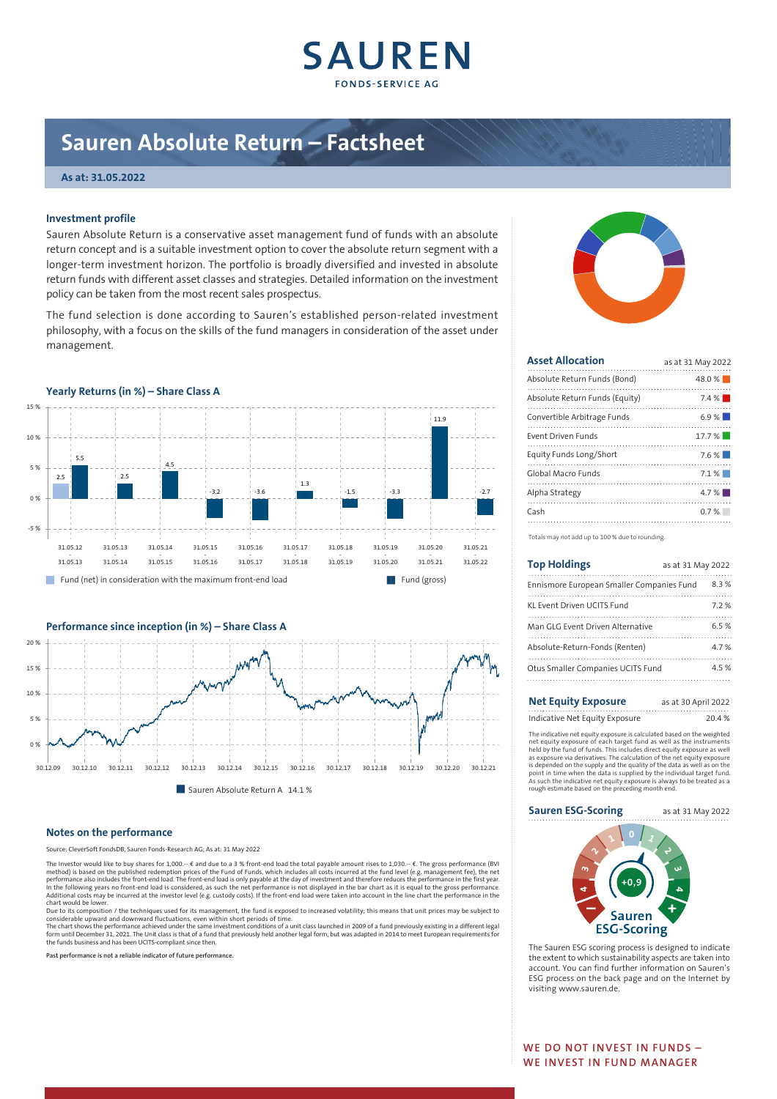

# **Sauren Absolute Return – Factsheet**

# **As at: 31.05.2022**

# **Investment profile**

Sauren Absolute Return is a conservative asset management fund of funds with an absolute return concept and is a suitable investment option to cover the absolute return segment with a longer-term investment horizon. The portfolio is broadly diversified and invested in absolute return funds with different asset classes and strategies. Detailed information on the investment policy can be taken from the most recent sales prospectus.

The fund selection is done according to Sauren's established person-related investment philosophy, with a focus on the skills of the fund managers in consideration of the asset under management.





# **Notes on the performance**

ce: CleverSoft FondsDB, Sauren Fonds-Research AG; As at: 31 May 2022

The Investor would like to buy shares for 1,000.- € and due to a 3 % front-end load the total payable amount rises to 1,030.- €. The gross performance (BVI<br>method) is based on the published redemption prices of the Fund of

chart would be lower.<br>Due to its composition / the techniques used for its management, the fund is exposed to increased volatility; this means that unit prices may be subject to<br>Considerable upward and downward fluctuation

**Past performance is not a reliable indicator of future performance.**



| <b>Asset Allocation</b>        | as at 31 May 2022 |
|--------------------------------|-------------------|
| Absolute Return Funds (Bond)   | 48.0%             |
| Absolute Return Funds (Equity) | 7.4%              |
| Convertible Arbitrage Funds    | 6.9%              |
| Event Driven Funds             | 17.7%             |
| Equity Funds Long/Short        | 7.6%              |
| Global Macro Funds             | 7.1%              |
| Alpha Strategy                 | 4.7%              |
| Cash                           | 0.7%              |
|                                |                   |

Totals may not add up to 100 % due to rounding.

| <b>Top Holdings</b>                       | as at 31 May 2022 |  |
|-------------------------------------------|-------------------|--|
| Ennismore European Smaller Companies Fund | 8.3%              |  |
| KL Event Driven UCITS Fund                | 72%               |  |
| Man GLG Event Driven Alternative          | 65%               |  |
| Absolute-Return-Fonds (Renten)            | 47%               |  |
| Otus Smaller Companies UCITS Fund         | 45%               |  |
|                                           |                   |  |

# **Net Equity Exposure** as at 30 April 2022 Indicative Net Equity Exposure 20.4 %

The indicative net equity exposure is calculated based on the weighted net equity exposure of each target fund as well as the instruments<br>held by the fund of funds. This includes direct equity exposure as well<br>as exposure via derivatives. The calculation of the net equity exposure<br>is depended As such the indicative net equity exposure is always to be treated as a rough estimate based on the preceding month end.

# **Sauren ESG-Scoring** as at 31 May 2022



The Sauren ESG scoring process is designed to indicate the extent to which sustainability aspects are taken into account. You can find further information on Sauren's ESG process on the back page and on the Internet by visiting www.sauren.de.

**WE DO NOT INVEST IN FUNDS – WE INVEST IN FUND MANAGER**